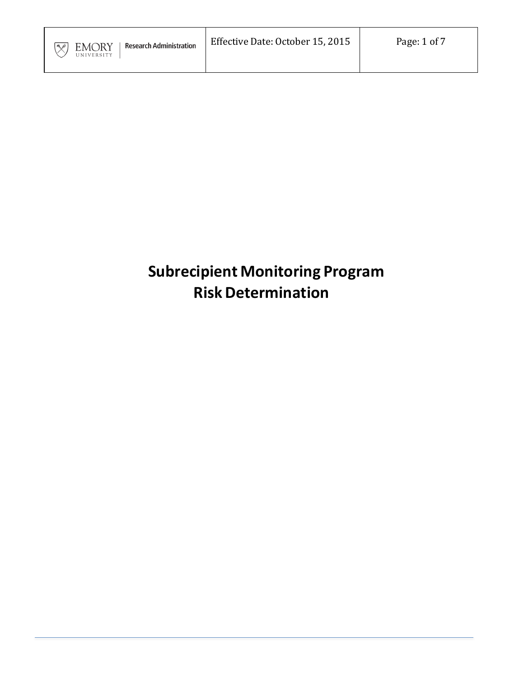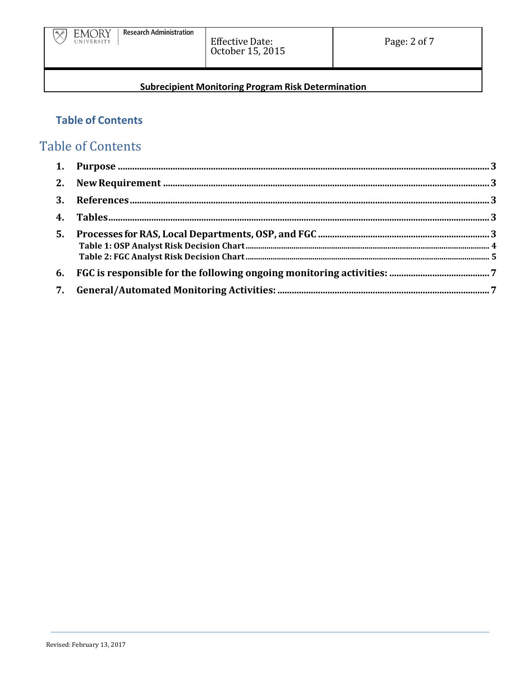

## **Table of Contents**

# **Table of Contents**

| 5. |  |
|----|--|
| 6. |  |
|    |  |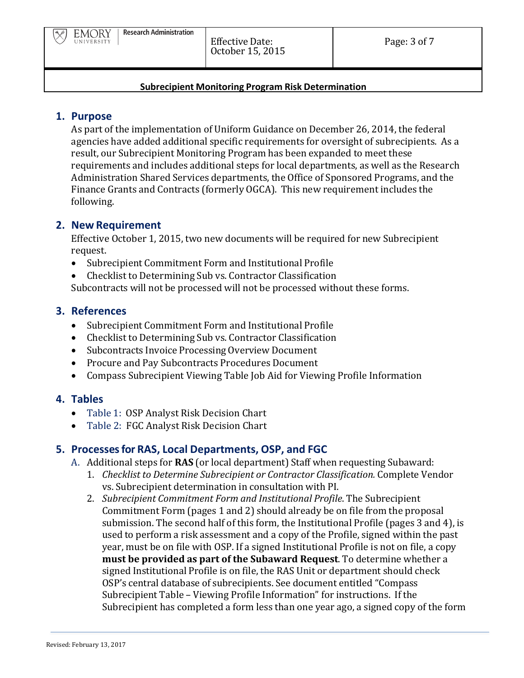### **1. Purpose**

As part of the implementation of Uniform Guidance on December 26, 2014, the federal agencies have added additional specific requirements for oversight of subrecipients. As a result, our Subrecipient Monitoring Program has been expanded to meet these requirements and includes additional steps for local departments, as well as the Research Administration Shared Services departments, the Office of Sponsored Programs, and the Finance Grants and Contracts (formerly OGCA). This new requirement includes the following.

#### **2. New Requirement**

Effective October 1, 2015, two new documents will be required for new Subrecipient request.

- Subrecipient Commitment Form and Institutional Profile
- Checklist to Determining Sub vs. Contractor Classification Subcontracts will not be processed will not be processed without these forms.

#### **3. References**

- Subrecipient Commitment Form and Institutional Profile
- Checklist to Determining Sub vs. Contractor Classification
- Subcontracts Invoice Processing Overview Document
- Procure and Pay Subcontracts Procedures Document
- Compass Subrecipient Viewing Table Job Aid for Viewing Profile Information

## **4. Tables**

- Table 1: OSP Analyst Risk Decision Chart
- Table 2: FGC Analyst Risk Decision Chart

## **5. Processes for RAS, Local Departments, OSP, and FGC**

- A. Additional steps for **RAS** (or local department) Staff when requesting Subaward:
	- 1. *Checklist to Determine Subrecipient or Contractor Classification.* Complete Vendor vs. Subrecipient determination in consultation with PI.
	- 2. *Subrecipient Commitment Form and Institutional Profile*. The Subrecipient Commitment Form (pages 1 and 2) should already be on file from the proposal submission. The second half of this form, the Institutional Profile (pages 3 and 4), is used to perform a risk assessment and a copy of the Profile, signed within the past year, must be on file with OSP. If a signed Institutional Profile is not on file, a copy **must be provided as part of the Subaward Request**. To determine whether a signed Institutional Profile is on file, the RAS Unit or department should check OSP's central database of subrecipients. See document entitled "Compass Subrecipient Table – Viewing Profile Information" for instructions. If the Subrecipient has completed a form less than one year ago, a signed copy of the form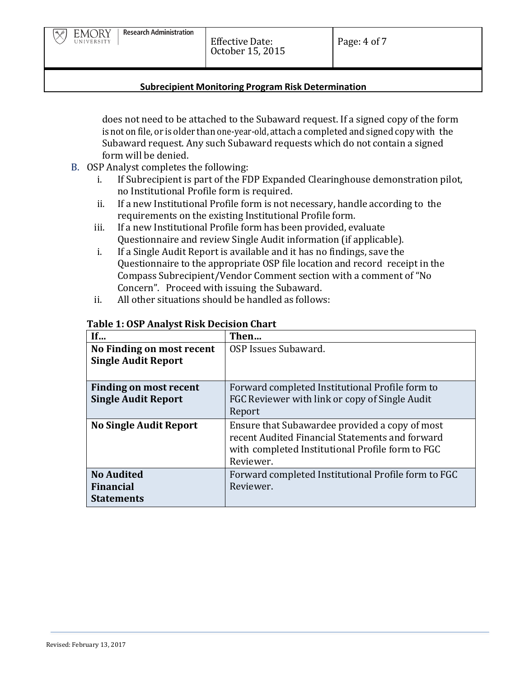does not need to be attached to the Subaward request. If a signed copy of the form is not on file, or is older than one-year-old, attach a completed and signed copy with the Subaward request. Any such Subaward requests which do not contain a signed form will be denied.

- B. OSP Analyst completes the following:
	- i. If Subrecipient is part of the FDP Expanded Clearinghouse demonstration pilot, no Institutional Profile form is required.
	- ii. If a new Institutional Profile form is not necessary, handle according to the requirements on the existing Institutional Profile form.
	- iii. If a new Institutional Profile form has been provided, evaluate Questionnaire and review Single Audit information (if applicable).
	- i. If a Single Audit Report is available and it has no findings, save the Questionnaire to the appropriate OSP file location and record receipt in the Compass Subrecipient/Vendor Comment section with a comment of "No Concern". Proceed with issuing the Subaward.
	- ii. All other situations should be handled as follows:

| If                                                         | Then                                                                                                                                                               |
|------------------------------------------------------------|--------------------------------------------------------------------------------------------------------------------------------------------------------------------|
| No Finding on most recent                                  | OSP Issues Subaward.                                                                                                                                               |
| <b>Single Audit Report</b>                                 |                                                                                                                                                                    |
|                                                            |                                                                                                                                                                    |
| <b>Finding on most recent</b>                              | Forward completed Institutional Profile form to                                                                                                                    |
| <b>Single Audit Report</b>                                 | FGC Reviewer with link or copy of Single Audit                                                                                                                     |
|                                                            | Report                                                                                                                                                             |
| <b>No Single Audit Report</b>                              | Ensure that Subawardee provided a copy of most<br>recent Audited Financial Statements and forward<br>with completed Institutional Profile form to FGC<br>Reviewer. |
| <b>No Audited</b><br><b>Financial</b><br><b>Statements</b> | Forward completed Institutional Profile form to FGC<br>Reviewer.                                                                                                   |

#### **Table 1: OSP Analyst Risk Decision Chart**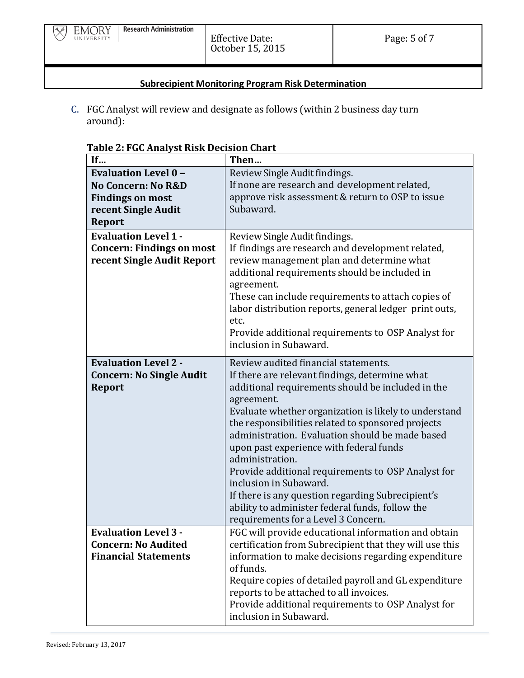$\overline{\mathbb{X}}$ 

#### **Subrecipient Monitoring Program Risk Determination**

C. FGC Analyst will review and designate as follows (within 2 business day turn around):

| If                               | Then                                                                                             |
|----------------------------------|--------------------------------------------------------------------------------------------------|
| <b>Evaluation Level 0-</b>       | Review Single Audit findings.                                                                    |
| No Concern: No R&D               | If none are research and development related,                                                    |
| <b>Findings on most</b>          | approve risk assessment & return to OSP to issue                                                 |
| recent Single Audit              | Subaward.                                                                                        |
| <b>Report</b>                    |                                                                                                  |
| <b>Evaluation Level 1 -</b>      | Review Single Audit findings.                                                                    |
| <b>Concern: Findings on most</b> | If findings are research and development related,                                                |
| recent Single Audit Report       | review management plan and determine what                                                        |
|                                  | additional requirements should be included in                                                    |
|                                  | agreement.                                                                                       |
|                                  | These can include requirements to attach copies of                                               |
|                                  | labor distribution reports, general ledger print outs,                                           |
|                                  | etc.                                                                                             |
|                                  | Provide additional requirements to OSP Analyst for                                               |
|                                  | inclusion in Subaward.                                                                           |
| <b>Evaluation Level 2 -</b>      | Review audited financial statements.                                                             |
| <b>Concern: No Single Audit</b>  | If there are relevant findings, determine what                                                   |
| <b>Report</b>                    | additional requirements should be included in the                                                |
|                                  | agreement.                                                                                       |
|                                  | Evaluate whether organization is likely to understand                                            |
|                                  | the responsibilities related to sponsored projects                                               |
|                                  | administration. Evaluation should be made based                                                  |
|                                  | upon past experience with federal funds                                                          |
|                                  | administration.                                                                                  |
|                                  | Provide additional requirements to OSP Analyst for                                               |
|                                  | inclusion in Subaward.                                                                           |
|                                  | If there is any question regarding Subrecipient's                                                |
|                                  | ability to administer federal funds, follow the                                                  |
|                                  | requirements for a Level 3 Concern.                                                              |
| <b>Evaluation Level 3 -</b>      | FGC will provide educational information and obtain                                              |
| <b>Concern: No Audited</b>       | certification from Subrecipient that they will use this                                          |
| <b>Financial Statements</b>      | information to make decisions regarding expenditure                                              |
|                                  | of funds.                                                                                        |
|                                  | Require copies of detailed payroll and GL expenditure<br>reports to be attached to all invoices. |
|                                  | Provide additional requirements to OSP Analyst for                                               |
|                                  | inclusion in Subaward.                                                                           |
|                                  |                                                                                                  |

#### **Table 2: FGC Analyst Risk Decision Chart**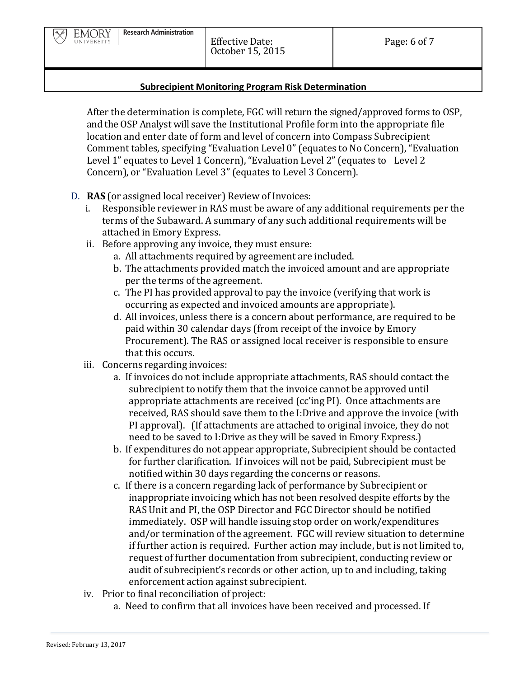After the determination is complete, FGC will return the signed/approved forms to OSP, and the OSP Analyst will save the Institutional Profile form into the appropriate file location and enter date of form and level of concern into Compass Subrecipient Comment tables, specifying "Evaluation Level 0" (equates to No Concern), "Evaluation Level 1" equates to Level 1 Concern), "Evaluation Level 2" (equates to Level 2 Concern), or "Evaluation Level 3" (equates to Level 3 Concern).

- D. **RAS** (or assigned local receiver) Review of Invoices:
	- i. Responsible reviewer in RAS must be aware of any additional requirements per the terms of the Subaward. A summary of any such additional requirements will be attached in Emory Express.
	- ii. Before approving any invoice, they must ensure:
		- a. All attachments required by agreement are included.
		- b. The attachments provided match the invoiced amount and are appropriate per the terms of the agreement.
		- c. The PI has provided approval to pay the invoice (verifying that work is occurring as expected and invoiced amounts are appropriate).
		- d. All invoices, unless there is a concern about performance, are required to be paid within 30 calendar days (from receipt of the invoice by Emory Procurement). The RAS or assigned local receiver is responsible to ensure that this occurs.
	- iii. Concerns regarding invoices:
		- a. If invoices do not include appropriate attachments, RAS should contact the subrecipient to notify them that the invoice cannot be approved until appropriate attachments are received (cc'ing PI). Once attachments are received, RAS should save them to the I:Drive and approve the invoice (with PI approval). (If attachments are attached to original invoice, they do not need to be saved to I:Drive as they will be saved in Emory Express.)
		- b. If expenditures do not appear appropriate, Subrecipient should be contacted for further clarification. If invoices will not be paid, Subrecipient must be notified within 30 days regarding the concerns or reasons.
		- c. If there is a concern regarding lack of performance by Subrecipient or inappropriate invoicing which has not been resolved despite efforts by the RAS Unit and PI, the OSP Director and FGC Director should be notified immediately. OSP will handle issuing stop order on work/expenditures and/or termination of the agreement. FGC will review situation to determine if further action is required. Further action may include, but is not limited to, request of further documentation from subrecipient, conducting review or audit of subrecipient's records or other action, up to and including, taking enforcement action against subrecipient.
	- iv. Prior to final reconciliation of project:
		- a. Need to confirm that all invoices have been received and processed. If